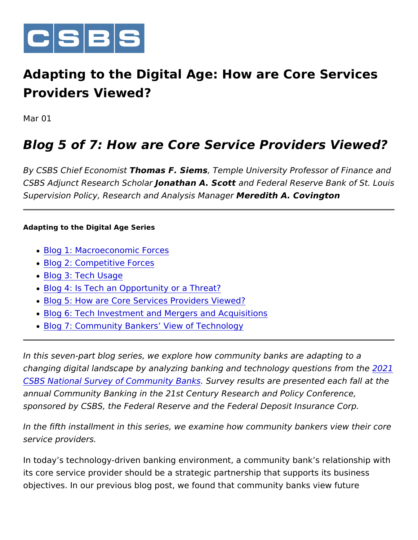

Adapting to the Digital Age: How are Core Se Providers Viewed?

Mar 01

### Blog 5 of 7: How are Core Service Providers

By CSBS Chief EcoTrhcormias F. SiemTsemple University Professor of Fir CSBS Adjunct Research Ghoahtohlaan A. Scaontol Federal Reserve Bank of S Supervision Policy, Research and AnMaleyrseids it Mha A a gCeorvington

Adapting to the Digital Age Series

- [Blog 1: Macroeconomi](https://www.csbs.org/newsroom/adapting-digital-age-community-bankers-perspectives-technology)c Forces
- [Blog 2: Competitive](https://www.csbs.org/newsroom/adapting-digital-age-part-2-competitive-forces) Forces
- [Blog 3: Tech](https://www.csbs.org/newsroom/adapting-digital-age-community-bank-tech-usage) Usage
- [Blog 4: Is Tech an Opportunity](https://www.csbs.org/newsroom/adapting-digital-age-community-bankers-perspectives-technology-0) or a Threat?
- [Blog 5: How are Core Services Pro](https://www.csbs.org/newsroom/adapting-digital-age-how-are-core-services-providers-viewed)viders Viewed?
- [Blog 6: Tech Investment and Mergers a](https://www.csbs.org/newsroom/adapting-digital-age-tech-investment-and-mergers-and-acquisitions)nd Acquisitions
- [Blog 7: Community Bankers View](https://www.csbs.org/newsroom/adapting-digital-age-community-bankers-view-technology) of Technology

In this seven-part blog series, we explore how community banks are changing digital landscape by analyzing banking and techn[olog](https://csbs.sharepoint.com/sites/Communications/Comms Team Documents/2022/Blogs/CBs and Tech Series/1CBT Econ Forces 2022.01.26.docx)y qu [CSBS National Survey of Comm](https://csbs.sharepoint.com/sites/Communications/Comms Team Documents/2022/Blogs/CBs and Tech Series/1CBT Econ Forces 2022.01.26.docx)unity Byanes ults are presented each factors . Survey results and at the USBS National at the Survey of Community Byanes are presented each annual Community Banking in the 21st Century Research and Policy sponsored by CSBS, the Federal Reserve and the Federal Deposit I

In the fifth installment in this series, we examine how community b service providers.

In today s technology-driven banking environment, a community bar its core service provider should be a strategic partnership that sup objectives. In our previous blog post, we found that community ban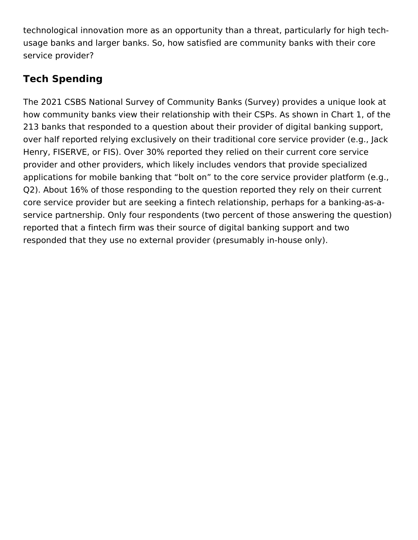technological innovation more as an opportunity than a threat, particularly for high techusage banks and larger banks. So, how satisfied are community banks with their core service provider?

## **Tech Spending**

The 2021 CSBS National Survey of Community Banks (Survey) provides a unique look at how community banks view their relationship with their CSPs. As shown in Chart 1, of the 213 banks that responded to a question about their provider of digital banking support, over half reported relying exclusively on their traditional core service provider (e.g., Jack Henry, FISERVE, or FIS). Over 30% reported they relied on their current core service provider and other providers, which likely includes vendors that provide specialized applications for mobile banking that "bolt on" to the core service provider platform (e.g., Q2). About 16% of those responding to the question reported they rely on their current core service provider but are seeking a fintech relationship, perhaps for a banking-as-aservice partnership. Only four respondents (two percent of those answering the question) reported that a fintech firm was their source of digital banking support and two responded that they use no external provider (presumably in-house only).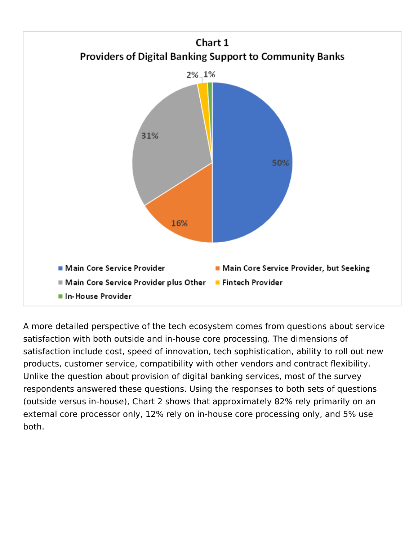

A more detailed perspective of the tech ecosystem comes from questions about service satisfaction with both outside and in-house core processing. The dimensions of satisfaction include cost, speed of innovation, tech sophistication, ability to roll out new products, customer service, compatibility with other vendors and contract flexibility. Unlike the question about provision of digital banking services, most of the survey respondents answered these questions. Using the responses to both sets of questions (outside versus in-house), Chart 2 shows that approximately 82% rely primarily on an external core processor only, 12% rely on in-house core processing only, and 5% use both.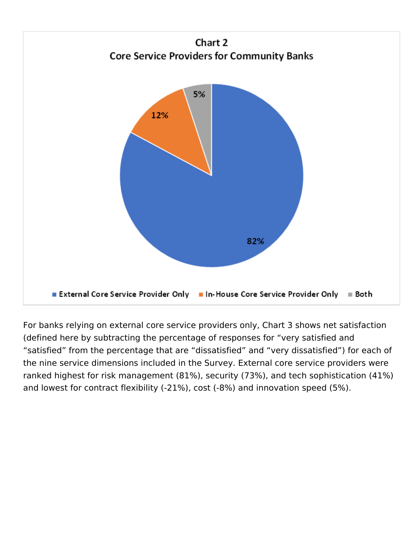

For banks relying on external core service providers only, Chart 3 shows net satisfaction (defined here by subtracting the percentage of responses for "very satisfied and "satisfied" from the percentage that are "dissatisfied" and "very dissatisfied") for each of the nine service dimensions included in the Survey. External core service providers were ranked highest for risk management (81%), security (73%), and tech sophistication (41%) and lowest for contract flexibility (-21%), cost (-8%) and innovation speed (5%).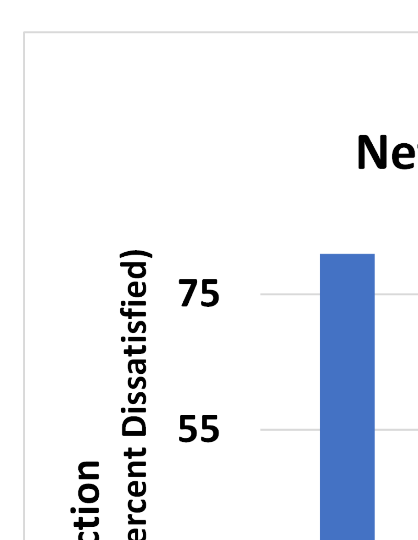## **Ne**

## ercent Dissatisfied) 75 55 nont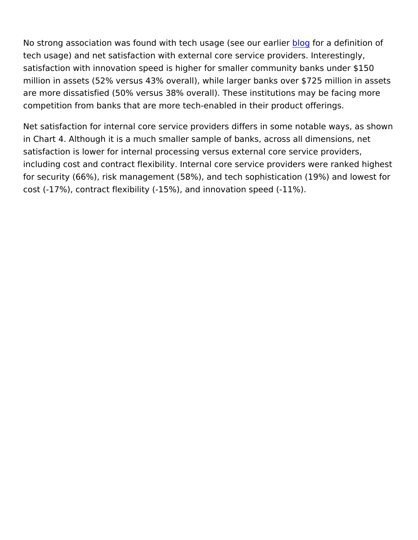No strong association was found with tech usabgleogfsoereaoduerferaintlicen of tech usage) and net satisfaction with external core service provide satisfaction with innovation speed is higher for smaller community million in assets (52% versus 43% overall), while larger banks over are more dissatisfied (50% versus 38% overall). These institutions competition from banks that are more tech-enabled in their product

Net satisfaction for internal core service providers differs in some in Chart 4. Although it is a much smaller sample of banks, across a satisfaction is lower for internal processing versus external core service  $\mathbf{r}$ including cost and contract flexibility. Internal core service provide for security (66%), risk management (58%), and tech sophistication cost (-17%), contract flexibility (-15%), and innovation speed (-11%).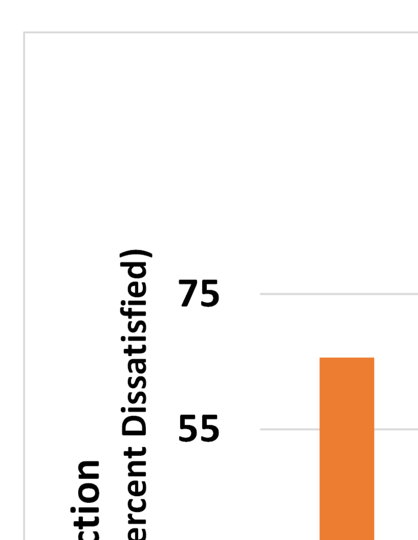# ercent Dissatisfied) nonta

## 75 55